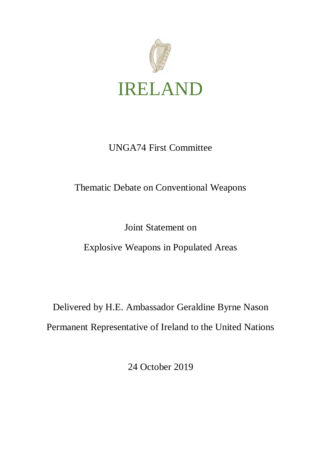

## UNGA74 First Committee

## Thematic Debate on Conventional Weapons

### Joint Statement on

## Explosive Weapons in Populated Areas

# Delivered by H.E. Ambassador Geraldine Byrne Nason Permanent Representative of Ireland to the United Nations

24 October 2019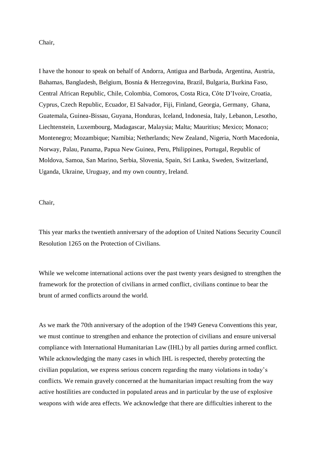#### Chair,

I have the honour to speak on behalf of Andorra, Antigua and Barbuda, Argentina, Austria, Bahamas, Bangladesh, Belgium, Bosnia & Herzegovina, Brazil, Bulgaria, Burkina Faso, Central African Republic, Chile, Colombia, Comoros, Costa Rica, Côte D'Ivoire, Croatia, Cyprus, Czech Republic, Ecuador, El Salvador, Fiji, Finland, Georgia, Germany, Ghana, Guatemala, Guinea-Bissau, Guyana, Honduras, Iceland, Indonesia, Italy, Lebanon, Lesotho, Liechtenstein, Luxembourg, Madagascar, Malaysia; Malta; Mauritius; Mexico; Monaco; Montenegro; Mozambique; Namibia; Netherlands; New Zealand, Nigeria, North Macedonia, Norway, Palau, Panama, Papua New Guinea, Peru, Philippines, Portugal, Republic of Moldova, Samoa, San Marino, Serbia, Slovenia, Spain, Sri Lanka, Sweden, Switzerland, Uganda, Ukraine, Uruguay, and my own country, Ireland.

#### Chair,

This year marks the twentieth anniversary of the adoption of United Nations Security Council Resolution 1265 on the Protection of Civilians.

While we welcome international actions over the past twenty years designed to strengthen the framework for the protection of civilians in armed conflict, civilians continue to bear the brunt of armed conflicts around the world.

As we mark the 70th anniversary of the adoption of the 1949 Geneva Conventions this year, we must continue to strengthen and enhance the protection of civilians and ensure universal compliance with International Humanitarian Law (IHL) by all parties during armed conflict. While acknowledging the many cases in which IHL is respected, thereby protecting the civilian population, we express serious concern regarding the many violations in today's conflicts. We remain gravely concerned at the humanitarian impact resulting from the way active hostilities are conducted in populated areas and in particular by the use of explosive weapons with wide area effects. We acknowledge that there are difficulties inherent to the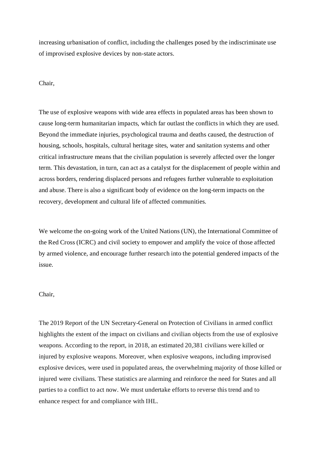increasing urbanisation of conflict, including the challenges posed by the indiscriminate use of improvised explosive devices by non-state actors.

#### Chair,

The use of explosive weapons with wide area effects in populated areas has been shown to cause long-term humanitarian impacts, which far outlast the conflicts in which they are used. Beyond the immediate injuries, psychological trauma and deaths caused, the destruction of housing, schools, hospitals, cultural heritage sites, water and sanitation systems and other critical infrastructure means that the civilian population is severely affected over the longer term. This devastation, in turn, can act as a catalyst for the displacement of people within and across borders, rendering displaced persons and refugees further vulnerable to exploitation and abuse. There is also a significant body of evidence on the long-term impacts on the recovery, development and cultural life of affected communities.

We welcome the on-going work of the United Nations (UN), the International Committee of the Red Cross (ICRC) and civil society to empower and amplify the voice of those affected by armed violence, and encourage further research into the potential gendered impacts of the issue.

#### Chair,

The 2019 Report of the UN Secretary-General on Protection of Civilians in armed conflict highlights the extent of the impact on civilians and civilian objects from the use of explosive weapons. According to the report, in 2018, an estimated 20,381 civilians were killed or injured by explosive weapons. Moreover, when explosive weapons, including improvised explosive devices, were used in populated areas, the overwhelming majority of those killed or injured were civilians. These statistics are alarming and reinforce the need for States and all parties to a conflict to act now. We must undertake efforts to reverse this trend and to enhance respect for and compliance with IHL.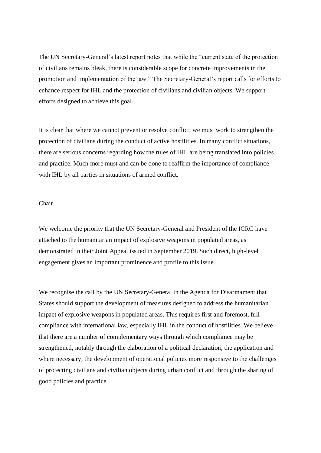The UN Secretary-General's latest report notes that while the "current state of the protection of civilians remains bleak, there is considerable scope for concrete improvements in the promotion and implementation of the law." The Secretary-General's report calls for efforts to enhance respect for IHL and the protection of civilians and civilian objects. We support efforts designed to achieve this goal.

It is clear that where we cannot prevent or resolve conflict, we must work to strengthen the protection of civilians during the conduct of active hostilities. In many conflict situations, there are serious concerns regarding how the rules of IHL are being translated into policies and practice. Much more must and can be done to reaffirm the importance of compliance with IHL by all parties in situations of armed conflict.

#### Chair,

We welcome the priority that the UN Secretary-General and President of the ICRC have attached to the humanitarian impact of explosive weapons in populated areas, as demonstrated in their Joint Appeal issued in September 2019. Such direct, high-level engagement gives an important prominence and profile to this issue*.* 

We recognise the call by the UN Secretary-General in the Agenda for Disarmament that States should support the development of measures designed to address the humanitarian impact of explosive weapons in populated areas. This requires first and foremost, full compliance with international law, especially IHL in the conduct of hostilities. We believe that there are a number of complementary ways through which compliance may be strengthened, notably through the elaboration of a political declaration, the application and where necessary, the development of operational policies more responsive to the challenges of protecting civilians and civilian objects during urban conflict and through the sharing of good policies and practice.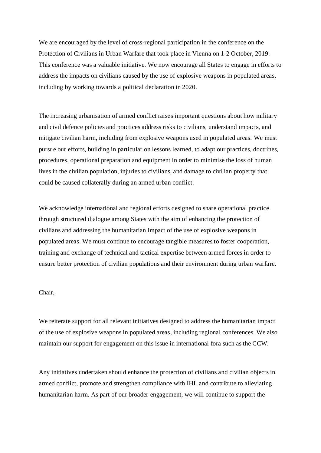We are encouraged by the level of cross-regional participation in the conference on the Protection of Civilians in Urban Warfare that took place in Vienna on 1-2 October, 2019. This conference was a valuable initiative. We now encourage all States to engage in efforts to address the impacts on civilians caused by the use of explosive weapons in populated areas, including by working towards a political declaration in 2020.

The increasing urbanisation of armed conflict raises important questions about how military and civil defence policies and practices address risks to civilians, understand impacts, and mitigate civilian harm, including from explosive weapons used in populated areas. We must pursue our efforts, building in particular on lessons learned, to adapt our practices, doctrines, procedures, operational preparation and equipment in order to minimise the loss of human lives in the civilian population, injuries to civilians, and damage to civilian property that could be caused collaterally during an armed urban conflict.

We acknowledge international and regional efforts designed to share operational practice through structured dialogue among States with the aim of enhancing the protection of civilians and addressing the humanitarian impact of the use of explosive weapons in populated areas. We must continue to encourage tangible measures to foster cooperation, training and exchange of technical and tactical expertise between armed forces in order to ensure better protection of civilian populations and their environment during urban warfare.

#### Chair,

We reiterate support for all relevant initiatives designed to address the humanitarian impact of the use of explosive weapons in populated areas, including regional conferences. We also maintain our support for engagement on this issue in international fora such as the CCW.

Any initiatives undertaken should enhance the protection of civilians and civilian objects in armed conflict, promote and strengthen compliance with IHL and contribute to alleviating humanitarian harm. As part of our broader engagement, we will continue to support the